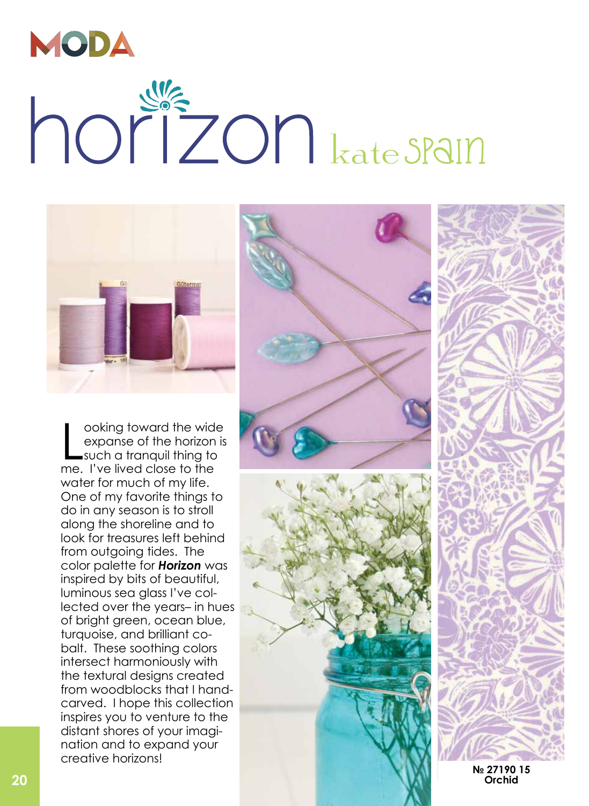

## horizon kate SPalm



oxing toward the wide<br>
sychons of the horizon is<br>
work of costs to the her best costs of the best costs of the her best costs of<br>
One of my faceous is to strell<br>
One of my faceous is to strell<br>
One of my faceous is to stre ooking toward the wide expanse of the horizon is such a tranquil thing to me. I've lived close to the water for much of my life. One of my favorite things to do in any season is to stroll along the shoreline and to look for treasures left behind from outgoing tides. The color palette for *Horizon* was inspired by bits of beautiful, luminous sea glass I've col lected over the years– in hues of bright green, ocean blue, turquoise, and brilliant co balt. These soothing colors intersect harmoniously with the textural designs created from woodblocks that I handcarved. I hope this collection inspires you to venture to the distant shores of your imagi nation and to expand your creative horizons!



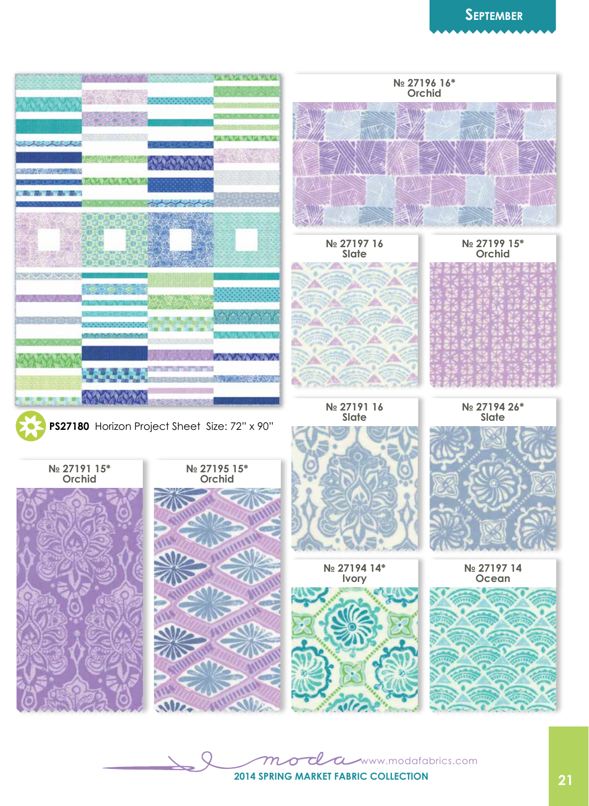

www.modafabrics.com  $\boldsymbol{\sigma}$ **21 2014 Spring market Fabric collection**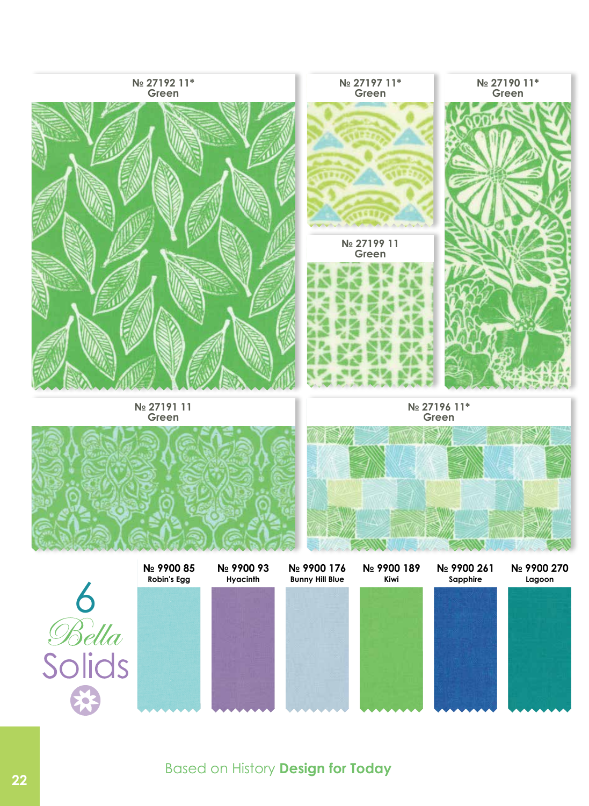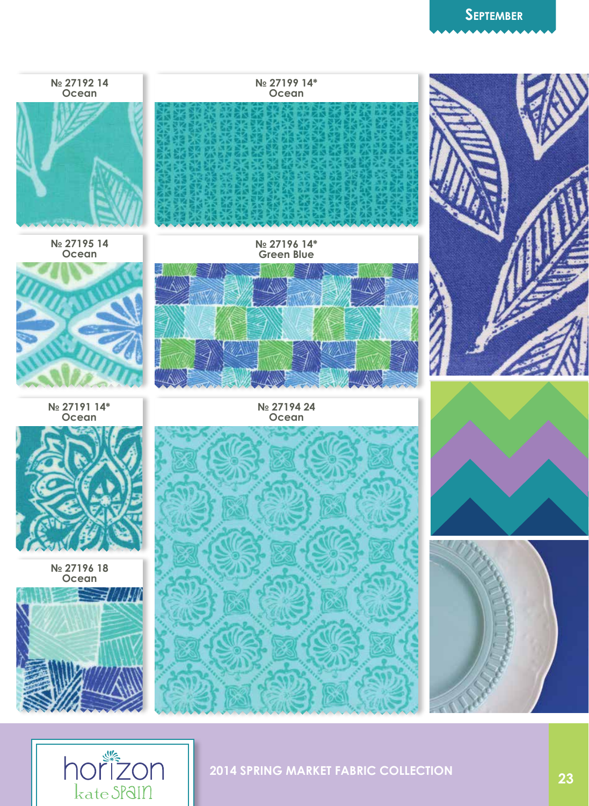## **September**